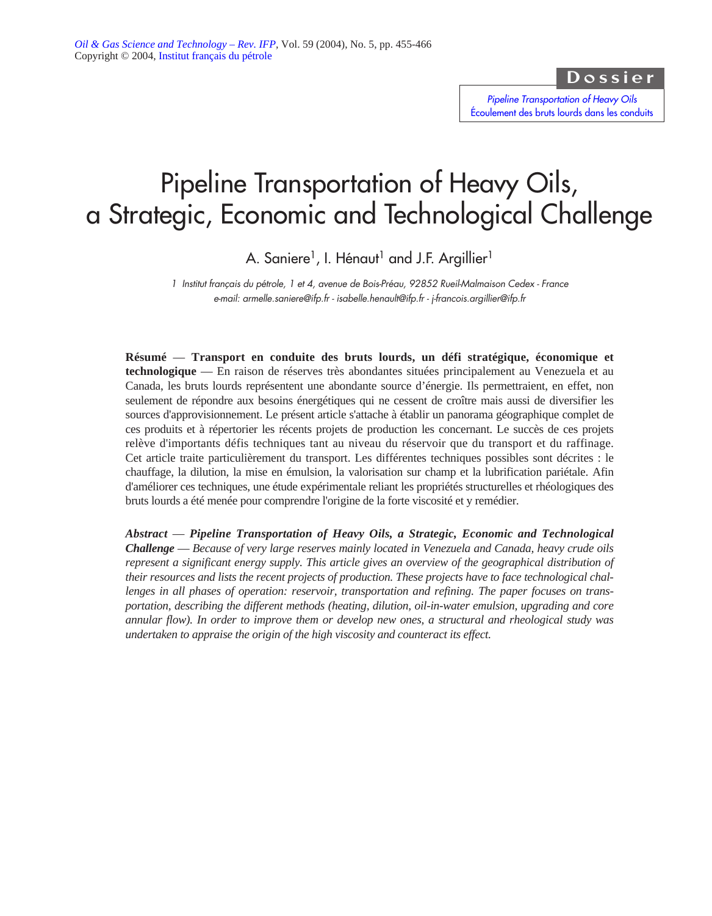Dossier

*Pipeline Transportation of Heavy Oils* [Écoulement des bruts lourds dans les conduits](http://ogst.ifp.fr/index.php?option=toc&url=/articles/ogst/abs/2004/05/contents/contents.html)

# Pipeline Transportation of Heavy Oils, a Strategic, Economic and Technological Challenge

A. Saniere<sup>1</sup>, I. Hénaut<sup>1</sup> and J.F. Argillier<sup>1</sup>

*1 Institut français du pétrole, 1 et 4, avenue de Bois-Préau, 92852 Rueil-Malmaison Cedex - France e-mail: armelle.saniere@ifp.fr - isabelle.henault@ifp.fr - j-francois.argillier@ifp.fr*

**Résumé** — **Transport en conduite des bruts lourds, un défi stratégique, économique et technologique** — En raison de réserves très abondantes situées principalement au Venezuela et au Canada, les bruts lourds représentent une abondante source d'énergie. Ils permettraient, en effet, non seulement de répondre aux besoins énergétiques qui ne cessent de croître mais aussi de diversifier les sources d'approvisionnement. Le présent article s'attache à établir un panorama géographique complet de ces produits et à répertorier les récents projets de production les concernant. Le succès de ces projets relève d'importants défis techniques tant au niveau du réservoir que du transport et du raffinage. Cet article traite particulièrement du transport. Les différentes techniques possibles sont décrites : le chauffage, la dilution, la mise en émulsion, la valorisation sur champ et la lubrification pariétale. Afin d'améliorer ces techniques, une étude expérimentale reliant les propriétés structurelles et rhéologiques des bruts lourds a été menée pour comprendre l'origine de la forte viscosité et y remédier.

*Abstract* — *Pipeline Transportation of Heavy Oils, a Strategic, Economic and Technological Challenge* — *Because of very large reserves mainly located in Venezuela and Canada, heavy crude oils represent a significant energy supply. This article gives an overview of the geographical distribution of their resources and lists the recent projects of production. These projects have to face technological challenges in all phases of operation: reservoir, transportation and refining. The paper focuses on transportation, describing the different methods (heating, dilution, oil-in-water emulsion, upgrading and core annular flow). In order to improve them or develop new ones, a structural and rheological study was undertaken to appraise the origin of the high viscosity and counteract its effect.*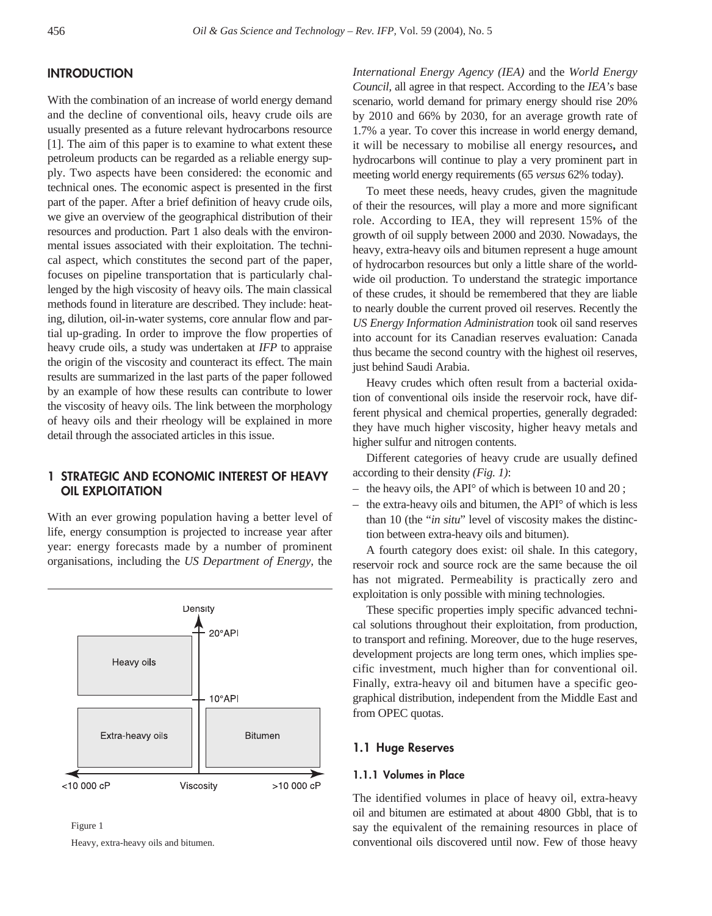# **INTRODUCTION**

With the combination of an increase of world energy demand and the decline of conventional oils, heavy crude oils are usually presented as a future relevant hydrocarbons resource [1]. The aim of this paper is to examine to what extent these petroleum products can be regarded as a reliable energy supply. Two aspects have been considered: the economic and technical ones. The economic aspect is presented in the first part of the paper. After a brief definition of heavy crude oils, we give an overview of the geographical distribution of their resources and production. Part 1 also deals with the environmental issues associated with their exploitation. The technical aspect, which constitutes the second part of the paper, focuses on pipeline transportation that is particularly challenged by the high viscosity of heavy oils. The main classical methods found in literature are described. They include: heating, dilution, oil-in-water systems, core annular flow and partial up-grading. In order to improve the flow properties of heavy crude oils, a study was undertaken at *IFP* to appraise the origin of the viscosity and counteract its effect. The main results are summarized in the last parts of the paper followed by an example of how these results can contribute to lower the viscosity of heavy oils. The link between the morphology of heavy oils and their rheology will be explained in more detail through the associated articles in this issue.

# **1 STRATEGIC AND ECONOMIC INTEREST OF HEAVY OIL EXPLOITATION**

With an ever growing population having a better level of life, energy consumption is projected to increase year after year: energy forecasts made by a number of prominent organisations, including the *US Department of Energy,* the



Figure 1 Heavy, extra-heavy oils and bitumen. *International Energy Agency (IEA)* and the *World Energy Council,* all agree in that respect. According to the *IEA's* base scenario, world demand for primary energy should rise 20% by 2010 and 66% by 2030, for an average growth rate of 1.7% a year. To cover this increase in world energy demand, it will be necessary to mobilise all energy resources**,** and hydrocarbons will continue to play a very prominent part in meeting world energy requirements (65 *versus* 62% today).

To meet these needs, heavy crudes, given the magnitude of their the resources, will play a more and more significant role. According to IEA, they will represent 15% of the growth of oil supply between 2000 and 2030. Nowadays, the heavy, extra-heavy oils and bitumen represent a huge amount of hydrocarbon resources but only a little share of the worldwide oil production. To understand the strategic importance of these crudes, it should be remembered that they are liable to nearly double the current proved oil reserves. Recently the *US Energy Information Administration* took oil sand reserves into account for its Canadian reserves evaluation: Canada thus became the second country with the highest oil reserves, just behind Saudi Arabia.

Heavy crudes which often result from a bacterial oxidation of conventional oils inside the reservoir rock, have different physical and chemical properties, generally degraded: they have much higher viscosity, higher heavy metals and higher sulfur and nitrogen contents.

Different categories of heavy crude are usually defined according to their density *(Fig. 1)*:

- the heavy oils, the API° of which is between 10 and 20 ;
- the extra-heavy oils and bitumen, the API° of which is less than 10 (the "*in situ*" level of viscosity makes the distinction between extra-heavy oils and bitumen).

A fourth category does exist: oil shale. In this category, reservoir rock and source rock are the same because the oil has not migrated. Permeability is practically zero and exploitation is only possible with mining technologies.

These specific properties imply specific advanced technical solutions throughout their exploitation, from production, to transport and refining. Moreover, due to the huge reserves, development projects are long term ones, which implies specific investment, much higher than for conventional oil. Finally, extra-heavy oil and bitumen have a specific geographical distribution, independent from the Middle East and from OPEC quotas.

### **1.1 Huge Reserves**

### **1.1.1 Volumes in Place**

The identified volumes in place of heavy oil, extra-heavy oil and bitumen are estimated at about 4800 Gbbl, that is to say the equivalent of the remaining resources in place of conventional oils discovered until now. Few of those heavy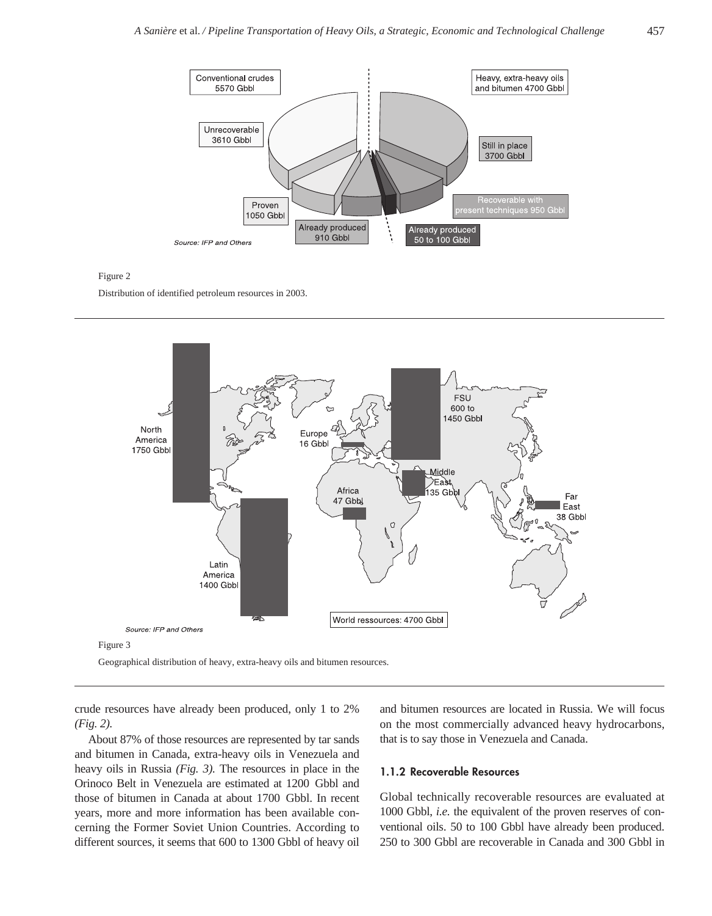

Distribution of identified petroleum resources in 2003.



Geographical distribution of heavy, extra-heavy oils and bitumen resources.

crude resources have already been produced, only 1 to 2% *(Fig. 2).*

About 87% of those resources are represented by tar sands and bitumen in Canada, extra-heavy oils in Venezuela and heavy oils in Russia *(Fig. 3).* The resources in place in the Orinoco Belt in Venezuela are estimated at 1200 Gbbl and those of bitumen in Canada at about 1700 Gbbl. In recent years, more and more information has been available concerning the Former Soviet Union Countries. According to different sources, it seems that 600 to 1300 Gbbl of heavy oil and bitumen resources are located in Russia. We will focus on the most commercially advanced heavy hydrocarbons, that is to say those in Venezuela and Canada.

### **1.1.2 Recoverable Resources**

Global technically recoverable resources are evaluated at 1000 Gbbl, *i.e.* the equivalent of the proven reserves of conventional oils. 50 to 100 Gbbl have already been produced. 250 to 300 Gbbl are recoverable in Canada and 300 Gbbl in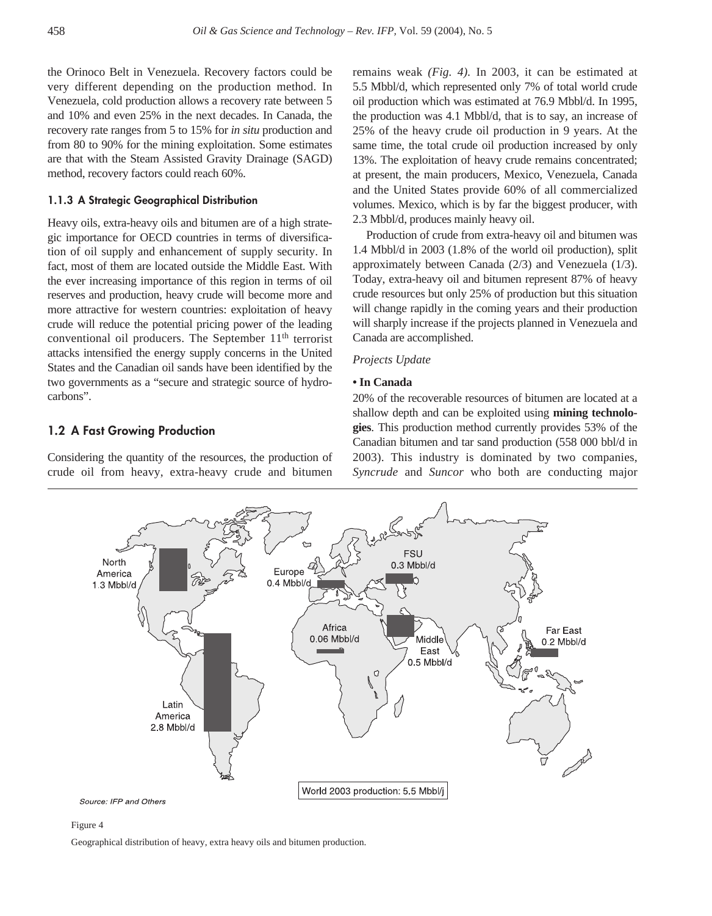the Orinoco Belt in Venezuela. Recovery factors could be very different depending on the production method. In Venezuela, cold production allows a recovery rate between 5 and 10% and even 25% in the next decades. In Canada, the recovery rate ranges from 5 to 15% for *in situ* production and from 80 to 90% for the mining exploitation. Some estimates are that with the Steam Assisted Gravity Drainage (SAGD) method, recovery factors could reach 60%.

### **1.1.3 A Strategic Geographical Distribution**

Heavy oils, extra-heavy oils and bitumen are of a high strategic importance for OECD countries in terms of diversification of oil supply and enhancement of supply security. In fact, most of them are located outside the Middle East. With the ever increasing importance of this region in terms of oil reserves and production, heavy crude will become more and more attractive for western countries: exploitation of heavy crude will reduce the potential pricing power of the leading conventional oil producers. The September  $11<sup>th</sup>$  terrorist attacks intensified the energy supply concerns in the United States and the Canadian oil sands have been identified by the two governments as a "secure and strategic source of hydrocarbons".

# **1.2 A Fast Growing Production**

Considering the quantity of the resources, the production of crude oil from heavy, extra-heavy crude and bitumen remains weak *(Fig. 4).* In 2003, it can be estimated at 5.5 Mbbl/d, which represented only 7% of total world crude oil production which was estimated at 76.9 Mbbl/d. In 1995, the production was 4.1 Mbbl/d, that is to say, an increase of 25% of the heavy crude oil production in 9 years. At the same time, the total crude oil production increased by only 13%. The exploitation of heavy crude remains concentrated; at present, the main producers, Mexico, Venezuela, Canada and the United States provide 60% of all commercialized volumes. Mexico, which is by far the biggest producer, with 2.3 Mbbl/d, produces mainly heavy oil.

Production of crude from extra-heavy oil and bitumen was 1.4 Mbbl/d in 2003 (1.8% of the world oil production), split approximately between Canada (2/3) and Venezuela (1/3). Today, extra-heavy oil and bitumen represent 87% of heavy crude resources but only 25% of production but this situation will change rapidly in the coming years and their production will sharply increase if the projects planned in Venezuela and Canada are accomplished.

### *Projects Update*

### **• In Canada**

20% of the recoverable resources of bitumen are located at a shallow depth and can be exploited using **mining technologies**. This production method currently provides 53% of the Canadian bitumen and tar sand production (558 000 bbl/d in 2003). This industry is dominated by two companies, *Syncrude* and *Suncor* who both are conducting major



### Figure 4

Geographical distribution of heavy, extra heavy oils and bitumen production.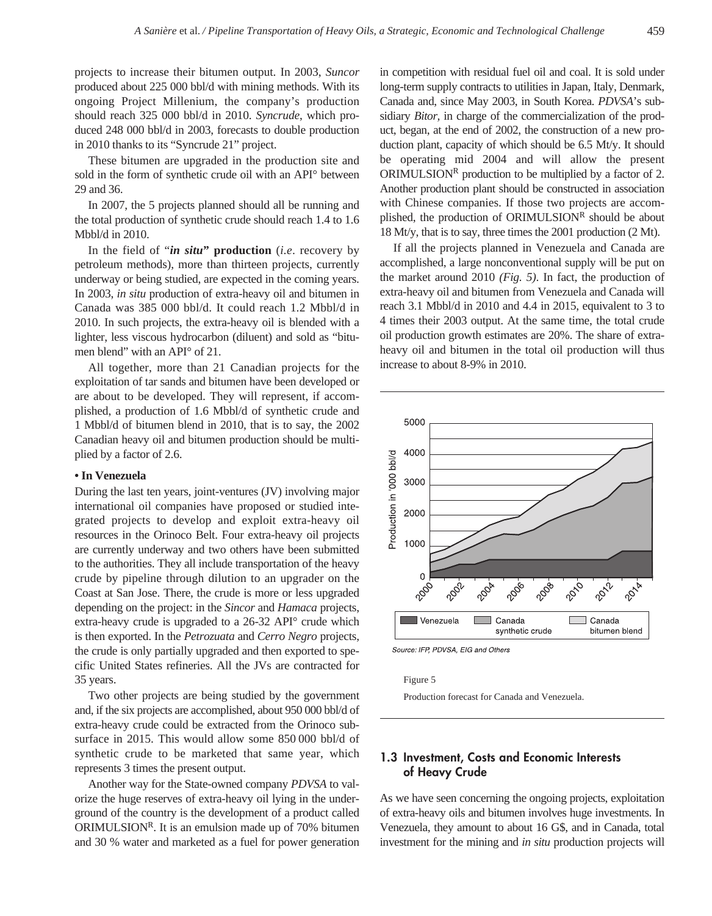projects to increase their bitumen output. In 2003, *Suncor* produced about 225 000 bbl/d with mining methods. With its ongoing Project Millenium, the company's production should reach 325 000 bbl/d in 2010. *Syncrude*, which produced 248 000 bbl/d in 2003, forecasts to double production in 2010 thanks to its "Syncrude 21" project.

These bitumen are upgraded in the production site and sold in the form of synthetic crude oil with an API° between 29 and 36.

In 2007, the 5 projects planned should all be running and the total production of synthetic crude should reach 1.4 to 1.6 Mbbl/d in 2010.

In the field of "*in situ***" production** (*i.e*. recovery by petroleum methods), more than thirteen projects, currently underway or being studied, are expected in the coming years. In 2003, *in situ* production of extra-heavy oil and bitumen in Canada was 385 000 bbl/d. It could reach 1.2 Mbbl/d in 2010. In such projects, the extra-heavy oil is blended with a lighter, less viscous hydrocarbon (diluent) and sold as "bitumen blend" with an API° of 21.

All together, more than 21 Canadian projects for the exploitation of tar sands and bitumen have been developed or are about to be developed. They will represent, if accomplished, a production of 1.6 Mbbl/d of synthetic crude and 1 Mbbl/d of bitumen blend in 2010, that is to say, the 2002 Canadian heavy oil and bitumen production should be multiplied by a factor of 2.6.

### **• In Venezuela**

During the last ten years, joint-ventures (JV) involving major international oil companies have proposed or studied integrated projects to develop and exploit extra-heavy oil resources in the Orinoco Belt. Four extra-heavy oil projects are currently underway and two others have been submitted to the authorities. They all include transportation of the heavy crude by pipeline through dilution to an upgrader on the Coast at San Jose. There, the crude is more or less upgraded depending on the project: in the *Sincor* and *Hamaca* projects, extra-heavy crude is upgraded to a 26-32 API° crude which is then exported. In the *Petrozuata* and *Cerro Negro* projects, the crude is only partially upgraded and then exported to specific United States refineries. All the JVs are contracted for 35 years.

Two other projects are being studied by the government and, if the six projects are accomplished, about 950 000 bbl/d of extra-heavy crude could be extracted from the Orinoco subsurface in 2015. This would allow some 850 000 bbl/d of synthetic crude to be marketed that same year, which represents 3 times the present output.

Another way for the State-owned company *PDVSA* to valorize the huge reserves of extra-heavy oil lying in the underground of the country is the development of a product called ORIMULSION<sup>R</sup>. It is an emulsion made up of  $70\%$  bitumen and 30 % water and marketed as a fuel for power generation in competition with residual fuel oil and coal. It is sold under long-term supply contracts to utilities in Japan, Italy, Denmark, Canada and, since May 2003, in South Korea. *PDVSA*'s subsidiary *Bitor,* in charge of the commercialization of the product, began, at the end of 2002, the construction of a new production plant, capacity of which should be 6.5 Mt/y. It should be operating mid 2004 and will allow the present ORIMULSION<sup>R</sup> production to be multiplied by a factor of 2. Another production plant should be constructed in association with Chinese companies. If those two projects are accomplished, the production of ORIMULSIONR should be about 18 Mt/y, that is to say, three times the 2001 production (2 Mt).

If all the projects planned in Venezuela and Canada are accomplished, a large nonconventional supply will be put on the market around 2010 *(Fig. 5)*. In fact, the production of extra-heavy oil and bitumen from Venezuela and Canada will reach 3.1 Mbbl/d in 2010 and 4.4 in 2015, equivalent to 3 to 4 times their 2003 output. At the same time, the total crude oil production growth estimates are 20%. The share of extraheavy oil and bitumen in the total oil production will thus increase to about 8-9% in 2010.



Source: IFP, PDVSA, EIG and Others

Figure 5

Production forecast for Canada and Venezuela.

## **1.3 Investment, Costs and Economic Interests of Heavy Crude**

As we have seen concerning the ongoing projects, exploitation of extra-heavy oils and bitumen involves huge investments. In Venezuela, they amount to about 16 G\$, and in Canada, total investment for the mining and *in situ* production projects will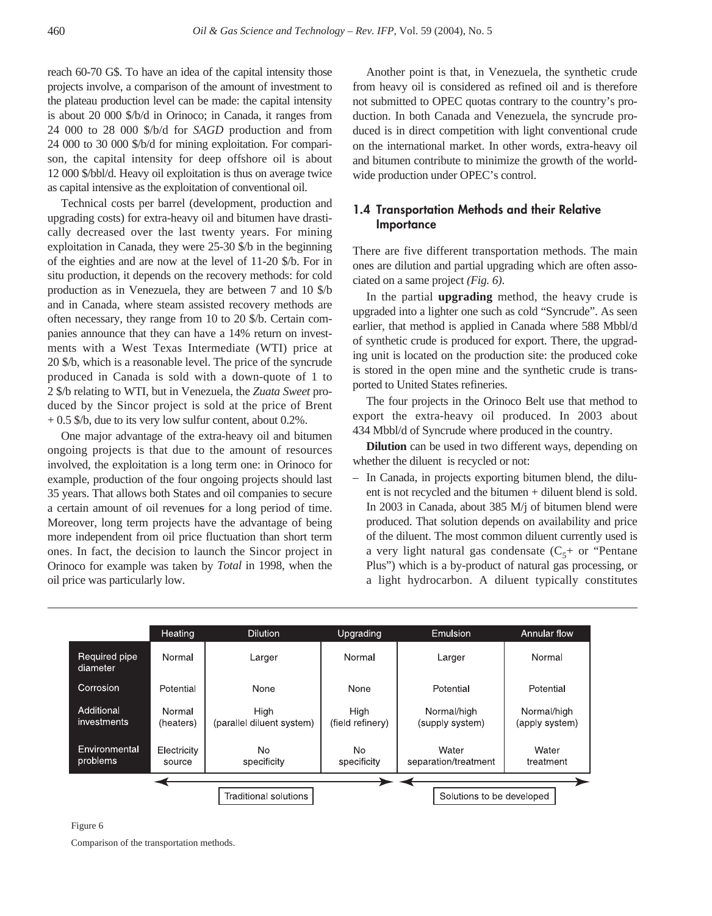reach 60-70 G\$. To have an idea of the capital intensity those projects involve, a comparison of the amount of investment to the plateau production level can be made: the capital intensity is about 20 000 \$/b/d in Orinoco; in Canada, it ranges from 24 000 to 28 000 \$/b/d for *SAGD* production and from 24 000 to 30 000 \$/b/d for mining exploitation. For comparison, the capital intensity for deep offshore oil is about 12 000 \$/bbl/d. Heavy oil exploitation is thus on average twice as capital intensive as the exploitation of conventional oil.

Technical costs per barrel (development, production and upgrading costs) for extra-heavy oil and bitumen have drastically decreased over the last twenty years. For mining exploitation in Canada, they were 25-30 \$/b in the beginning of the eighties and are now at the level of 11-20 \$/b. For in situ production, it depends on the recovery methods: for cold production as in Venezuela, they are between 7 and 10 \$/b and in Canada, where steam assisted recovery methods are often necessary, they range from 10 to 20 \$/b. Certain companies announce that they can have a 14% return on investments with a West Texas Intermediate (WTI) price at 20 \$/b, which is a reasonable level. The price of the syncrude produced in Canada is sold with a down-quote of 1 to 2 \$/b relating to WTI, but in Venezuela, the *Zuata Sweet* produced by the Sincor project is sold at the price of Brent + 0.5 \$/b, due to its very low sulfur content, about 0.2%.

One major advantage of the extra-heavy oil and bitumen ongoing projects is that due to the amount of resources involved, the exploitation is a long term one: in Orinoco for example, production of the four ongoing projects should last 35 years. That allows both States and oil companies to secure a certain amount of oil revenues for a long period of time. Moreover, long term projects have the advantage of being more independent from oil price fluctuation than short term ones. In fact, the decision to launch the Sincor project in Orinoco for example was taken by *Total* in 1998, when the oil price was particularly low.

Another point is that, in Venezuela, the synthetic crude from heavy oil is considered as refined oil and is therefore not submitted to OPEC quotas contrary to the country's production. In both Canada and Venezuela, the syncrude produced is in direct competition with light conventional crude on the international market. In other words, extra-heavy oil and bitumen contribute to minimize the growth of the worldwide production under OPEC's control.

# **1.4 Transportation Methods and their Relative Importance**

There are five different transportation methods. The main ones are dilution and partial upgrading which are often associated on a same project *(Fig. 6)*.

In the partial **upgrading** method, the heavy crude is upgraded into a lighter one such as cold "Syncrude". As seen earlier, that method is applied in Canada where 588 Mbbl/d of synthetic crude is produced for export. There, the upgrading unit is located on the production site: the produced coke is stored in the open mine and the synthetic crude is transported to United States refineries.

The four projects in the Orinoco Belt use that method to export the extra-heavy oil produced. In 2003 about 434 Mbbl/d of Syncrude where produced in the country.

**Dilution** can be used in two different ways, depending on whether the diluent is recycled or not:

– In Canada, in projects exporting bitumen blend, the diluent is not recycled and the bitumen + diluent blend is sold. In 2003 in Canada, about 385 M/j of bitumen blend were produced. That solution depends on availability and price of the diluent. The most common diluent currently used is a very light natural gas condensate  $(C<sub>5</sub> +$  or "Pentane" Plus") which is a by-product of natural gas processing, or a light hydrocarbon. A diluent typically constitutes

|                           | Heating                      | <b>Dilution</b>                   | Upgrading                     | Emulsion                       | Annular flow                  |
|---------------------------|------------------------------|-----------------------------------|-------------------------------|--------------------------------|-------------------------------|
| Required pipe<br>diameter | Normal                       | Larger                            | Normal                        | Larger                         | Normal                        |
| Corrosion                 | Potential                    | None                              | None                          | Potential                      | Potential                     |
| Additional<br>investments | Normal<br>(heaters)          | High<br>(parallel diluent system) | High<br>(field refinery)      | Normal/high<br>(supply system) | Normal/high<br>(apply system) |
| Environmental<br>problems | Electricity<br>source        | <b>No</b><br>specificity          | N <sub>o</sub><br>specificity | Water<br>separation/treatment  | Water<br>treatment            |
|                           |                              |                                   |                               |                                |                               |
|                           | <b>Traditional solutions</b> |                                   |                               | Solutions to be developed      |                               |

#### Figure 6

Comparison of the transportation methods.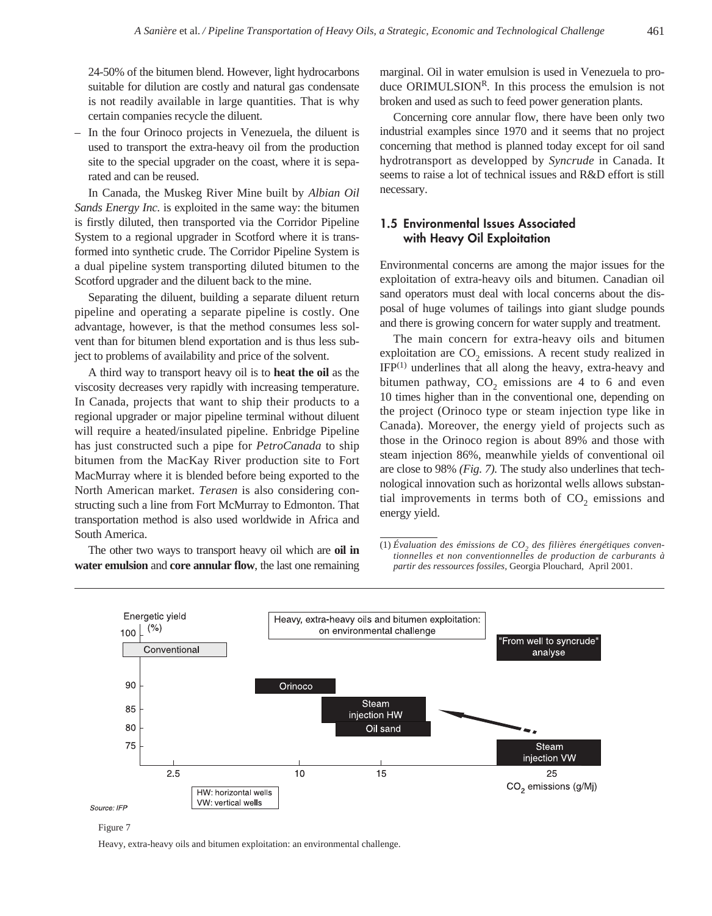24-50% of the bitumen blend. However, light hydrocarbons suitable for dilution are costly and natural gas condensate is not readily available in large quantities. That is why certain companies recycle the diluent.

– In the four Orinoco projects in Venezuela, the diluent is used to transport the extra-heavy oil from the production site to the special upgrader on the coast, where it is separated and can be reused.

In Canada, the Muskeg River Mine built by *Albian Oil Sands Energy Inc.* is exploited in the same way: the bitumen is firstly diluted, then transported via the Corridor Pipeline System to a regional upgrader in Scotford where it is transformed into synthetic crude. The Corridor Pipeline System is a dual pipeline system transporting diluted bitumen to the Scotford upgrader and the diluent back to the mine.

Separating the diluent, building a separate diluent return pipeline and operating a separate pipeline is costly. One advantage, however, is that the method consumes less solvent than for bitumen blend exportation and is thus less subject to problems of availability and price of the solvent.

A third way to transport heavy oil is to **heat the oil** as the viscosity decreases very rapidly with increasing temperature. In Canada, projects that want to ship their products to a regional upgrader or major pipeline terminal without diluent will require a heated/insulated pipeline. Enbridge Pipeline has just constructed such a pipe for *PetroCanada* to ship bitumen from the MacKay River production site to Fort MacMurray where it is blended before being exported to the North American market. *Terasen* is also considering constructing such a line from Fort McMurray to Edmonton. That transportation method is also used worldwide in Africa and South America.

The other two ways to transport heavy oil which are **oil in water emulsion** and **core annular flow**, the last one remaining marginal. Oil in water emulsion is used in Venezuela to produce ORIMULSION<sup>R</sup>. In this process the emulsion is not broken and used as such to feed power generation plants.

Concerning core annular flow, there have been only two industrial examples since 1970 and it seems that no project concerning that method is planned today except for oil sand hydrotransport as developped by *Syncrude* in Canada. It seems to raise a lot of technical issues and R&D effort is still necessary.

# **1.5 Environmental Issues Associated with Heavy Oil Exploitation**

Environmental concerns are among the major issues for the exploitation of extra-heavy oils and bitumen. Canadian oil sand operators must deal with local concerns about the disposal of huge volumes of tailings into giant sludge pounds and there is growing concern for water supply and treatment.

The main concern for extra-heavy oils and bitumen exploitation are  $CO<sub>2</sub>$  emissions. A recent study realized in  $IFP<sup>(1)</sup>$  underlines that all along the heavy, extra-heavy and bitumen pathway,  $CO<sub>2</sub>$  emissions are 4 to 6 and even 10 times higher than in the conventional one, depending on the project (Orinoco type or steam injection type like in Canada). Moreover, the energy yield of projects such as those in the Orinoco region is about 89% and those with steam injection 86%, meanwhile yields of conventional oil are close to 98% *(Fig. 7).* The study also underlines that technological innovation such as horizontal wells allows substantial improvements in terms both of  $CO<sub>2</sub>$  emissions and energy yield.

(1) Évaluation des émissions de CO<sub>2</sub> des filières énergétiques conven*tionnelles et non conventionnelles de production de carburants à partir des ressources fossiles,* Georgia Plouchard, April 2001.



Figure 7

Heavy, extra-heavy oils and bitumen exploitation: an environmental challenge.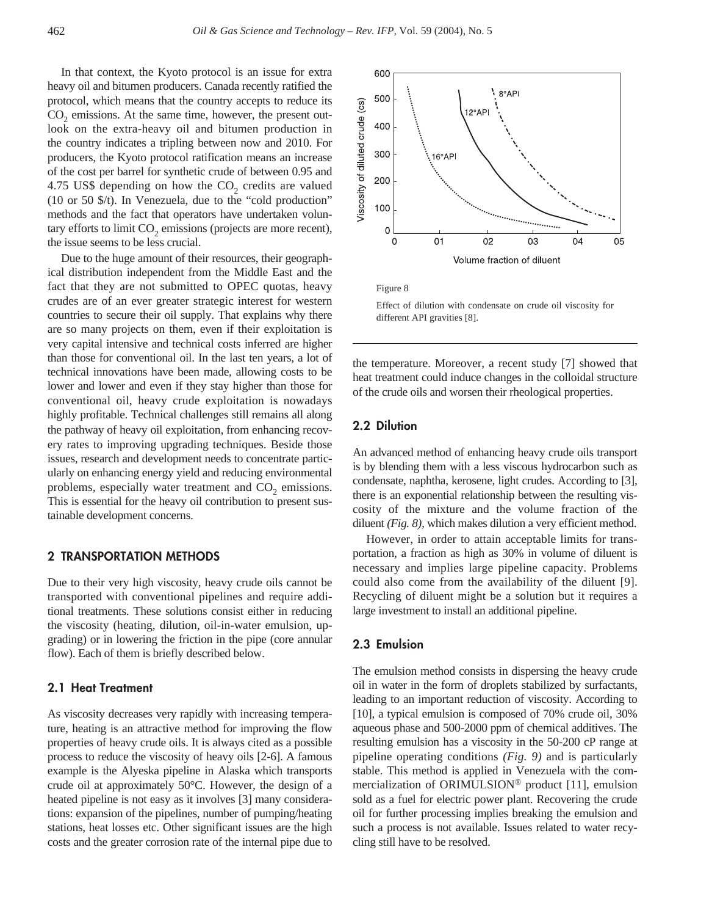In that context, the Kyoto protocol is an issue for extra heavy oil and bitumen producers. Canada recently ratified the protocol, which means that the country accepts to reduce its  $CO<sub>2</sub>$  emissions. At the same time, however, the present outlook on the extra-heavy oil and bitumen production in the country indicates a tripling between now and 2010. For producers, the Kyoto protocol ratification means an increase of the cost per barrel for synthetic crude of between 0.95 and 4.75 US\$ depending on how the  $CO<sub>2</sub>$  credits are valued (10 or 50 \$/t). In Venezuela, due to the "cold production" methods and the fact that operators have undertaken voluntary efforts to limit CO<sub>2</sub> emissions (projects are more recent), the issue seems to be less crucial.

Due to the huge amount of their resources, their geographical distribution independent from the Middle East and the fact that they are not submitted to OPEC quotas, heavy crudes are of an ever greater strategic interest for western countries to secure their oil supply. That explains why there are so many projects on them, even if their exploitation is very capital intensive and technical costs inferred are higher than those for conventional oil. In the last ten years, a lot of technical innovations have been made, allowing costs to be lower and lower and even if they stay higher than those for conventional oil, heavy crude exploitation is nowadays highly profitable. Technical challenges still remains all along the pathway of heavy oil exploitation, from enhancing recovery rates to improving upgrading techniques. Beside those issues, research and development needs to concentrate particularly on enhancing energy yield and reducing environmental problems, especially water treatment and  $CO<sub>2</sub>$  emissions. This is essential for the heavy oil contribution to present sustainable development concerns.

# **2 TRANSPORTATION METHODS**

Due to their very high viscosity, heavy crude oils cannot be transported with conventional pipelines and require additional treatments. These solutions consist either in reducing the viscosity (heating, dilution, oil-in-water emulsion, upgrading) or in lowering the friction in the pipe (core annular flow). Each of them is briefly described below.

### **2.1 Heat Treatment**

As viscosity decreases very rapidly with increasing temperature, heating is an attractive method for improving the flow properties of heavy crude oils. It is always cited as a possible process to reduce the viscosity of heavy oils [2-6]. A famous example is the Alyeska pipeline in Alaska which transports crude oil at approximately 50°C. However, the design of a heated pipeline is not easy as it involves [3] many considerations: expansion of the pipelines, number of pumping/heating stations, heat losses etc. Other significant issues are the high costs and the greater corrosion rate of the internal pipe due to



Effect of dilution with condensate on crude oil viscosity for different API gravities [8].

the temperature. Moreover, a recent study [7] showed that heat treatment could induce changes in the colloidal structure of the crude oils and worsen their rheological properties.

### **2.2 Dilution**

An advanced method of enhancing heavy crude oils transport is by blending them with a less viscous hydrocarbon such as condensate, naphtha, kerosene, light crudes. According to [3], there is an exponential relationship between the resulting viscosity of the mixture and the volume fraction of the diluent *(Fig. 8),* which makes dilution a very efficient method.

However, in order to attain acceptable limits for transportation, a fraction as high as 30% in volume of diluent is necessary and implies large pipeline capacity. Problems could also come from the availability of the diluent [9]. Recycling of diluent might be a solution but it requires a large investment to install an additional pipeline.

### **2.3 Emulsion**

The emulsion method consists in dispersing the heavy crude oil in water in the form of droplets stabilized by surfactants, leading to an important reduction of viscosity. According to [10], a typical emulsion is composed of 70% crude oil, 30% aqueous phase and 500-2000 ppm of chemical additives. The resulting emulsion has a viscosity in the 50-200 cP range at pipeline operating conditions *(Fig. 9)* and is particularly stable. This method is applied in Venezuela with the commercialization of ORIMULSION® product [11], emulsion sold as a fuel for electric power plant. Recovering the crude oil for further processing implies breaking the emulsion and such a process is not available. Issues related to water recycling still have to be resolved.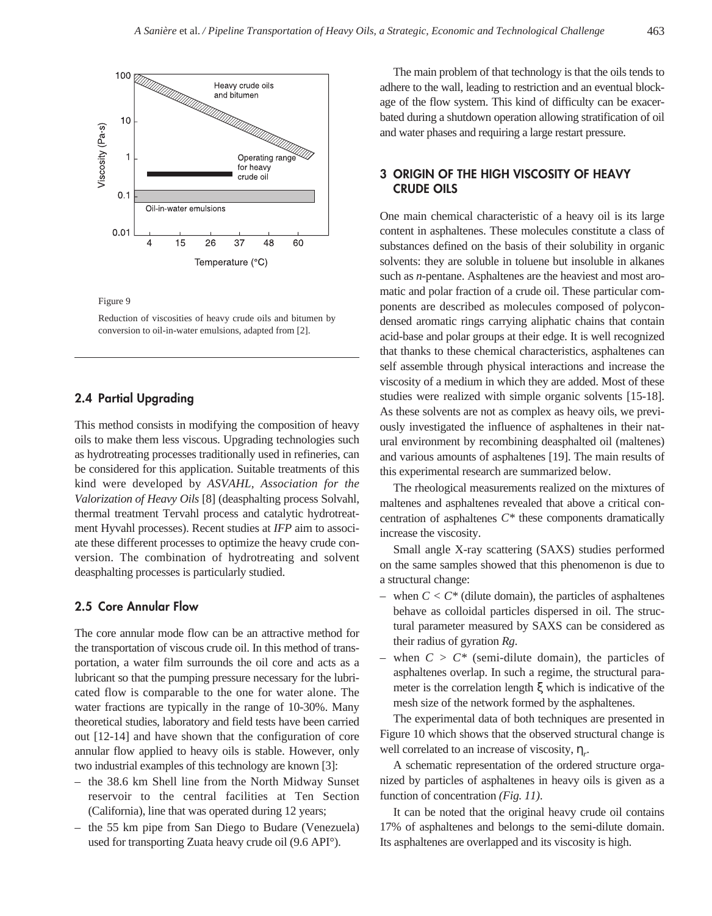

Reduction of viscosities of heavy crude oils and bitumen by conversion to oil-in-water emulsions, adapted from [2].

### **2.4 Partial Upgrading**

This method consists in modifying the composition of heavy oils to make them less viscous. Upgrading technologies such as hydrotreating processes traditionally used in refineries, can be considered for this application. Suitable treatments of this kind were developed by *ASVAHL, Association for the Valorization of Heavy Oils* [8] (deasphalting process Solvahl, thermal treatment Tervahl process and catalytic hydrotreatment Hyvahl processes). Recent studies at *IFP* aim to associate these different processes to optimize the heavy crude conversion. The combination of hydrotreating and solvent deasphalting processes is particularly studied.

### **2.5 Core Annular Flow**

The core annular mode flow can be an attractive method for the transportation of viscous crude oil. In this method of transportation, a water film surrounds the oil core and acts as a lubricant so that the pumping pressure necessary for the lubricated flow is comparable to the one for water alone. The water fractions are typically in the range of 10-30%. Many theoretical studies, laboratory and field tests have been carried out [12-14] and have shown that the configuration of core annular flow applied to heavy oils is stable. However, only two industrial examples of this technology are known [3]:

- the 38.6 km Shell line from the North Midway Sunset reservoir to the central facilities at Ten Section (California), line that was operated during 12 years;
- the 55 km pipe from San Diego to Budare (Venezuela) used for transporting Zuata heavy crude oil (9.6 API°).

The main problem of that technology is that the oils tends to adhere to the wall, leading to restriction and an eventual blockage of the flow system. This kind of difficulty can be exacerbated during a shutdown operation allowing stratification of oil and water phases and requiring a large restart pressure.

# **3 ORIGIN OF THE HIGH VISCOSITY OF HEAVY CRUDE OILS**

One main chemical characteristic of a heavy oil is its large content in asphaltenes. These molecules constitute a class of substances defined on the basis of their solubility in organic solvents: they are soluble in toluene but insoluble in alkanes such as *n*-pentane. Asphaltenes are the heaviest and most aromatic and polar fraction of a crude oil. These particular components are described as molecules composed of polycondensed aromatic rings carrying aliphatic chains that contain acid-base and polar groups at their edge. It is well recognized that thanks to these chemical characteristics, asphaltenes can self assemble through physical interactions and increase the viscosity of a medium in which they are added. Most of these studies were realized with simple organic solvents [15-18]. As these solvents are not as complex as heavy oils, we previously investigated the influence of asphaltenes in their natural environment by recombining deasphalted oil (maltenes) and various amounts of asphaltenes [19]. The main results of this experimental research are summarized below.

The rheological measurements realized on the mixtures of maltenes and asphaltenes revealed that above a critical concentration of asphaltenes *C\** these components dramatically increase the viscosity.

Small angle X-ray scattering (SAXS) studies performed on the same samples showed that this phenomenon is due to a structural change:

- when  $C < C^*$  (dilute domain), the particles of asphaltenes behave as colloidal particles dispersed in oil. The structural parameter measured by SAXS can be considered as their radius of gyration *Rg*.
- when  $C > C^*$  (semi-dilute domain), the particles of asphaltenes overlap. In such a regime, the structural parameter is the correlation length ξ which is indicative of the mesh size of the network formed by the asphaltenes.

The experimental data of both techniques are presented in Figure 10 which shows that the observed structural change is well correlated to an increase of viscosity,  $\eta_r$ .

A schematic representation of the ordered structure organized by particles of asphaltenes in heavy oils is given as a function of concentration *(Fig. 11)*.

It can be noted that the original heavy crude oil contains 17% of asphaltenes and belongs to the semi-dilute domain. Its asphaltenes are overlapped and its viscosity is high.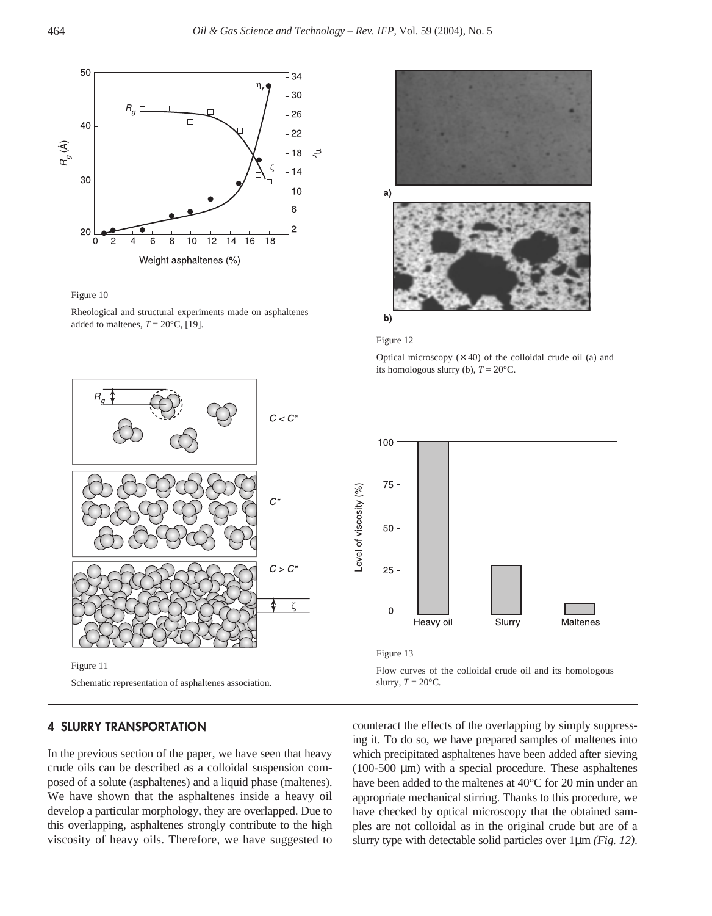

Rheological and structural experiments made on asphaltenes added to maltenes,  $T = 20$ °C, [19].



Figure 11 Schematic representation of asphaltenes association.

# **4 SLURRY TRANSPORTATION**

In the previous section of the paper, we have seen that heavy crude oils can be described as a colloidal suspension composed of a solute (asphaltenes) and a liquid phase (maltenes). We have shown that the asphaltenes inside a heavy oil develop a particular morphology, they are overlapped. Due to this overlapping, asphaltenes strongly contribute to the high viscosity of heavy oils. Therefore, we have suggested to





Optical microscopy  $(x 40)$  of the colloidal crude oil (a) and its homologous slurry (b),  $T = 20^{\circ}$ C.



Figure 13

Flow curves of the colloidal crude oil and its homologous slurry,  $T = 20$ °C.

counteract the effects of the overlapping by simply suppressing it. To do so, we have prepared samples of maltenes into which precipitated asphaltenes have been added after sieving (100-500  $\mu$ m) with a special procedure. These asphaltenes have been added to the maltenes at 40°C for 20 min under an appropriate mechanical stirring. Thanks to this procedure, we have checked by optical microscopy that the obtained samples are not colloidal as in the original crude but are of a slurry type with detectable solid particles over 1µm *(Fig. 12)*.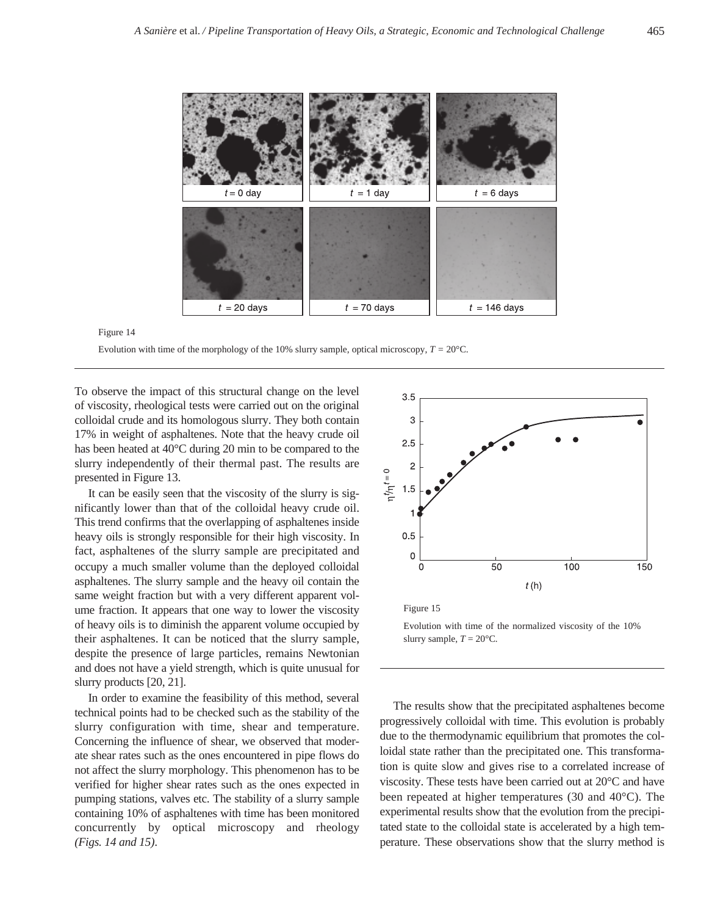

Evolution with time of the morphology of the 10% slurry sample, optical microscopy,  $T = 20^{\circ}$ C.

To observe the impact of this structural change on the level of viscosity, rheological tests were carried out on the original colloidal crude and its homologous slurry. They both contain 17% in weight of asphaltenes. Note that the heavy crude oil has been heated at 40°C during 20 min to be compared to the slurry independently of their thermal past. The results are presented in Figure 13.

It can be easily seen that the viscosity of the slurry is significantly lower than that of the colloidal heavy crude oil. This trend confirms that the overlapping of asphaltenes inside heavy oils is strongly responsible for their high viscosity. In fact, asphaltenes of the slurry sample are precipitated and occupy a much smaller volume than the deployed colloidal asphaltenes. The slurry sample and the heavy oil contain the same weight fraction but with a very different apparent volume fraction. It appears that one way to lower the viscosity of heavy oils is to diminish the apparent volume occupied by their asphaltenes. It can be noticed that the slurry sample, despite the presence of large particles, remains Newtonian and does not have a yield strength, which is quite unusual for slurry products [20, 21].

In order to examine the feasibility of this method, several technical points had to be checked such as the stability of the slurry configuration with time, shear and temperature. Concerning the influence of shear, we observed that moderate shear rates such as the ones encountered in pipe flows do not affect the slurry morphology. This phenomenon has to be verified for higher shear rates such as the ones expected in pumping stations, valves etc. The stability of a slurry sample containing 10% of asphaltenes with time has been monitored concurrently by optical microscopy and rheology *(Figs. 14 and 15)*.



Evolution with time of the normalized viscosity of the 10% slurry sample,  $T = 20^{\circ}$ C.

The results show that the precipitated asphaltenes become progressively colloidal with time. This evolution is probably due to the thermodynamic equilibrium that promotes the colloidal state rather than the precipitated one. This transformation is quite slow and gives rise to a correlated increase of viscosity. These tests have been carried out at 20°C and have been repeated at higher temperatures (30 and 40°C). The experimental results show that the evolution from the precipitated state to the colloidal state is accelerated by a high temperature. These observations show that the slurry method is